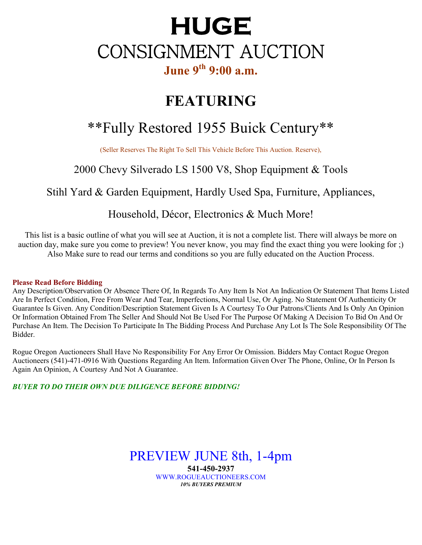# **HUGE** CONSIGNMENT AUCTION **June 9th 9:00 a.m.**

## **FEATURING**

## \*\*Fully Restored 1955 Buick Century\*\*

(Seller Reserves The Right To Sell This Vehicle Before This Auction. Reserve),

## 2000 Chevy Silverado LS 1500 V8, Shop Equipment & Tools

### Stihl Yard & Garden Equipment, Hardly Used Spa, Furniture, Appliances,

### Household, Décor, Electronics & Much More!

This list is a basic outline of what you will see at Auction, it is not a complete list. There will always be more on auction day, make sure you come to preview! You never know, you may find the exact thing you were looking for ;) Also Make sure to read our terms and conditions so you are fully educated on the Auction Process.

#### **Please Read Before Bidding**

Any Description/Observation Or Absence There Of, In Regards To Any Item Is Not An Indication Or Statement That Items Listed Are In Perfect Condition, Free From Wear And Tear, Imperfections, Normal Use, Or Aging. No Statement Of Authenticity Or Guarantee Is Given. Any Condition/Description Statement Given Is A Courtesy To Our Patrons/Clients And Is Only An Opinion Or Information Obtained From The Seller And Should Not Be Used For The Purpose Of Making A Decision To Bid On And Or Purchase An Item. The Decision To Participate In The Bidding Process And Purchase Any Lot Is The Sole Responsibility Of The Bidder.

Rogue Oregon Auctioneers Shall Have No Responsibility For Any Error Or Omission. Bidders May Contact Rogue Oregon Auctioneers (541)-471-0916 With Questions Regarding An Item. Information Given Over The Phone, Online, Or In Person Is Again An Opinion, A Courtesy And Not A Guarantee.

#### *BUYER TO DO THEIR OWN DUE DILIGENCE BEFORE BIDDING!*

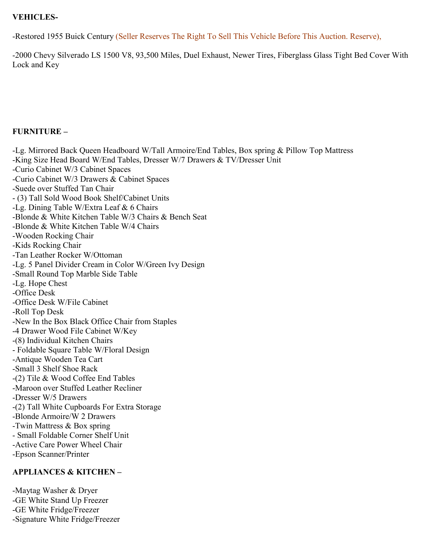#### **VEHICLES-**

-Restored 1955 Buick Century (Seller Reserves The Right To Sell This Vehicle Before This Auction. Reserve),

-2000 Chevy Silverado LS 1500 V8, 93,500 Miles, Duel Exhaust, Newer Tires, Fiberglass Glass Tight Bed Cover With Lock and Key

#### **FURNITURE –**

-Lg. Mirrored Back Queen Headboard W/Tall Armoire/End Tables, Box spring & Pillow Top Mattress -King Size Head Board W/End Tables, Dresser W/7 Drawers & TV/Dresser Unit -Curio Cabinet W/3 Cabinet Spaces -Curio Cabinet W/3 Drawers & Cabinet Spaces -Suede over Stuffed Tan Chair - (3) Tall Sold Wood Book Shelf/Cabinet Units -Lg. Dining Table W/Extra Leaf & 6 Chairs -Blonde & White Kitchen Table W/3 Chairs & Bench Seat -Blonde & White Kitchen Table W/4 Chairs -Wooden Rocking Chair -Kids Rocking Chair -Tan Leather Rocker W/Ottoman -Lg. 5 Panel Divider Cream in Color W/Green Ivy Design -Small Round Top Marble Side Table -Lg. Hope Chest -Office Desk -Office Desk W/File Cabinet -Roll Top Desk -New In the Box Black Office Chair from Staples -4 Drawer Wood File Cabinet W/Key -(8) Individual Kitchen Chairs - Foldable Square Table W/Floral Design -Antique Wooden Tea Cart -Small 3 Shelf Shoe Rack -(2) Tile & Wood Coffee End Tables -Maroon over Stuffed Leather Recliner -Dresser W/5 Drawers -(2) Tall White Cupboards For Extra Storage -Blonde Armoire/W 2 Drawers -Twin Mattress & Box spring - Small Foldable Corner Shelf Unit -Active Care Power Wheel Chair -Epson Scanner/Printer

#### **APPLIANCES & KITCHEN –**

-Maytag Washer & Dryer -GE White Stand Up Freezer -GE White Fridge/Freezer -Signature White Fridge/Freezer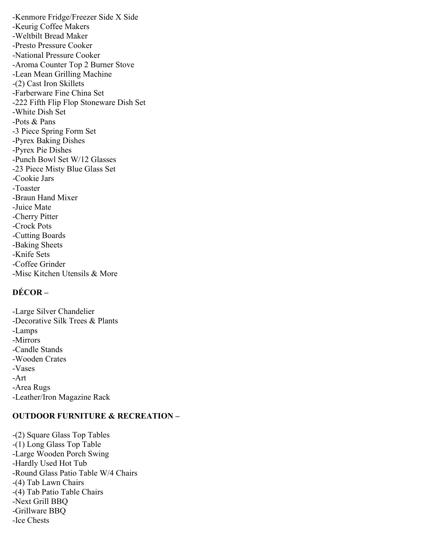-Kenmore Fridge/Freezer Side X Side -Keurig Coffee Makers -Weltbilt Bread Maker -Presto Pressure Cooker -National Pressure Cooker -Aroma Counter Top 2 Burner Stove -Lean Mean Grilling Machine -(2) Cast Iron Skillets -Farberware Fine China Set -222 Fifth Flip Flop Stoneware Dish Set -White Dish Set -Pots & Pans -3 Piece Spring Form Set -Pyrex Baking Dishes -Pyrex Pie Dishes -Punch Bowl Set W/12 Glasses -23 Piece Misty Blue Glass Set -Cookie Jars -Toaster -Braun Hand Mixer -Juice Mate -Cherry Pitter -Crock Pots -Cutting Boards -Baking Sheets -Knife Sets -Coffee Grinder -Misc Kitchen Utensils & More

#### **DÉCOR –**

-Large Silver Chandelier -Decorative Silk Trees & Plants -Lamps -Mirrors -Candle Stands -Wooden Crates -Vases -Art -Area Rugs -Leather/Iron Magazine Rack

#### **OUTDOOR FURNITURE & RECREATION –**

-(2) Square Glass Top Tables -(1) Long Glass Top Table -Large Wooden Porch Swing -Hardly Used Hot Tub -Round Glass Patio Table W/4 Chairs -(4) Tab Lawn Chairs -(4) Tab Patio Table Chairs -Next Grill BBQ -Grillware BBQ -Ice Chests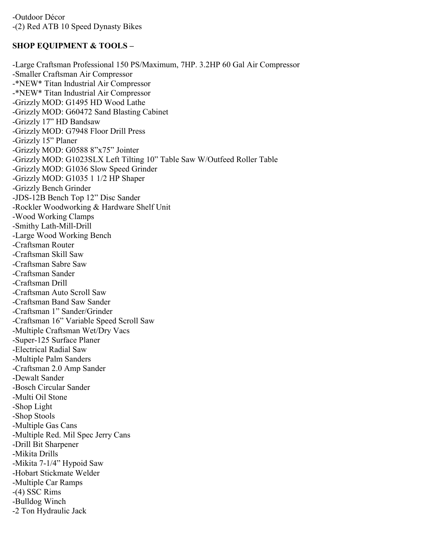#### **SHOP EQUIPMENT & TOOLS –**

-Large Craftsman Professional 150 PS/Maximum, 7HP. 3.2HP 60 Gal Air Compressor -Smaller Craftsman Air Compressor -\*NEW\* Titan Industrial Air Compressor -\*NEW\* Titan Industrial Air Compressor -Grizzly MOD: G1495 HD Wood Lathe -Grizzly MOD: G60472 Sand Blasting Cabinet -Grizzly 17" HD Bandsaw -Grizzly MOD: G7948 Floor Drill Press -Grizzly 15" Planer -Grizzly MOD: G0588 8"x75" Jointer -Grizzly MOD: G1023SLX Left Tilting 10" Table Saw W/Outfeed Roller Table -Grizzly MOD: G1036 Slow Speed Grinder -Grizzly MOD: G1035 1 1/2 HP Shaper -Grizzly Bench Grinder -JDS-12B Bench Top 12" Disc Sander -Rockler Woodworking & Hardware Shelf Unit -Wood Working Clamps -Smithy Lath-Mill-Drill -Large Wood Working Bench -Craftsman Router -Craftsman Skill Saw -Craftsman Sabre Saw -Craftsman Sander -Craftsman Drill -Craftsman Auto Scroll Saw -Craftsman Band Saw Sander -Craftsman 1" Sander/Grinder -Craftsman 16" Variable Speed Scroll Saw -Multiple Craftsman Wet/Dry Vacs -Super-125 Surface Planer -Electrical Radial Saw -Multiple Palm Sanders -Craftsman 2.0 Amp Sander -Dewalt Sander -Bosch Circular Sander -Multi Oil Stone -Shop Light -Shop Stools -Multiple Gas Cans -Multiple Red. Mil Spec Jerry Cans -Drill Bit Sharpener -Mikita Drills -Mikita 7-1/4" Hypoid Saw -Hobart Stickmate Welder -Multiple Car Ramps -(4) SSC Rims -Bulldog Winch -2 Ton Hydraulic Jack